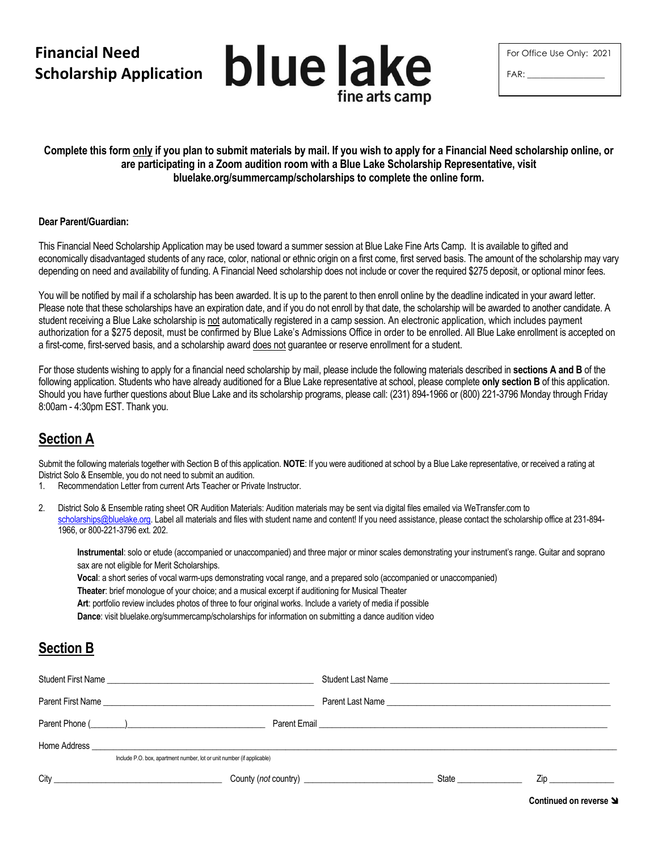# **Financial Need Scholarship Application**



| For Office Use Only: 2021 |  |
|---------------------------|--|
| FAR:                      |  |

### **Complete this form only if you plan to submit materials by mail. If you wish to apply for a Financial Need scholarship online, or are participating in a Zoom audition room with a Blue Lake Scholarship Representative, visit bluelake.org/summercamp/scholarships to complete the online form.**

#### **Dear Parent/Guardian:**

This Financial Need Scholarship Application may be used toward a summer session at Blue Lake Fine Arts Camp. It is available to gifted and economically disadvantaged students of any race, color, national or ethnic origin on a first come, first served basis. The amount of the scholarship may vary depending on need and availability of funding. A Financial Need scholarship does not include or cover the required \$275 deposit, or optional minor fees.

You will be notified by mail if a scholarship has been awarded. It is up to the parent to then enroll online by the deadline indicated in your award letter. Please note that these scholarships have an expiration date, and if you do not enroll by that date, the scholarship will be awarded to another candidate. A student receiving a Blue Lake scholarship is not automatically registered in a camp session. An electronic application, which includes payment authorization for a \$275 deposit, must be confirmed by Blue Lake's Admissions Office in order to be enrolled. All Blue Lake enrollment is accepted on a first-come, first-served basis, and a scholarship award does not guarantee or reserve enrollment for a student.

For those students wishing to apply for a financial need scholarship by mail, please include the following materials described in **sections A and B** of the following application. Students who have already auditioned for a Blue Lake representative at school, please complete **only section B** of this application. Should you have further questions about Blue Lake and its scholarship programs, please call: (231) 894-1966 or (800) 221-3796 Monday through Friday 8:00am - 4:30pm EST. Thank you.

## **Section A**

Submit the following materials together with Section B of this application. **NOTE**: If you were auditioned at school by a Blue Lake representative, or received a rating at District Solo & Ensemble, you do not need to submit an audition.

- 1. Recommendation Letter from current Arts Teacher or Private Instructor.
- 2. District Solo & Ensemble rating sheet OR Audition Materials: Audition materials may be sent via digital files emailed via WeTransfer.com to [scholarships@bluelake.org.](mailto:scholarships@bluelake.org) Label all materials and files with student name and content! If you need assistance, please contact the scholarship office at 231-894-1966, or 800-221-3796 ext. 202.

**Instrumental**: solo or etude (accompanied or unaccompanied) and three major or minor scales demonstrating your instrument's range. Guitar and soprano sax are not eligible for Merit Scholarships.

**Vocal**: a short series of vocal warm-ups demonstrating vocal range, and a prepared solo (accompanied or unaccompanied)

**Theater**: brief monologue of your choice; and a musical excerpt if auditioning for Musical Theater

**Art**: portfolio review includes photos of three to four original works. Include a variety of media if possible

**Dance**: visit bluelake.org/summercamp/scholarships for information on submitting a dance audition video

### **Section B**

|                                                                        | Student First Name |                                                                                                                                                                                                                                      |                                                                                                                                       |  |  |  |  |  |  |
|------------------------------------------------------------------------|--------------------|--------------------------------------------------------------------------------------------------------------------------------------------------------------------------------------------------------------------------------------|---------------------------------------------------------------------------------------------------------------------------------------|--|--|--|--|--|--|
|                                                                        |                    |                                                                                                                                                                                                                                      |                                                                                                                                       |  |  |  |  |  |  |
|                                                                        |                    | Parent Email <b>contract and the contract of the contract of the contract of the contract of the contract of the contract of the contract of the contract of the contract of the contract of the contract of the contract of the</b> |                                                                                                                                       |  |  |  |  |  |  |
|                                                                        |                    |                                                                                                                                                                                                                                      |                                                                                                                                       |  |  |  |  |  |  |
| Include P.O. box, apartment number, lot or unit number (if applicable) |                    |                                                                                                                                                                                                                                      |                                                                                                                                       |  |  |  |  |  |  |
|                                                                        |                    |                                                                                                                                                                                                                                      | State <b>State</b><br>Zip and the second state of the second state of the second state of the second state of the second state of the |  |  |  |  |  |  |

**Continued on reverse**